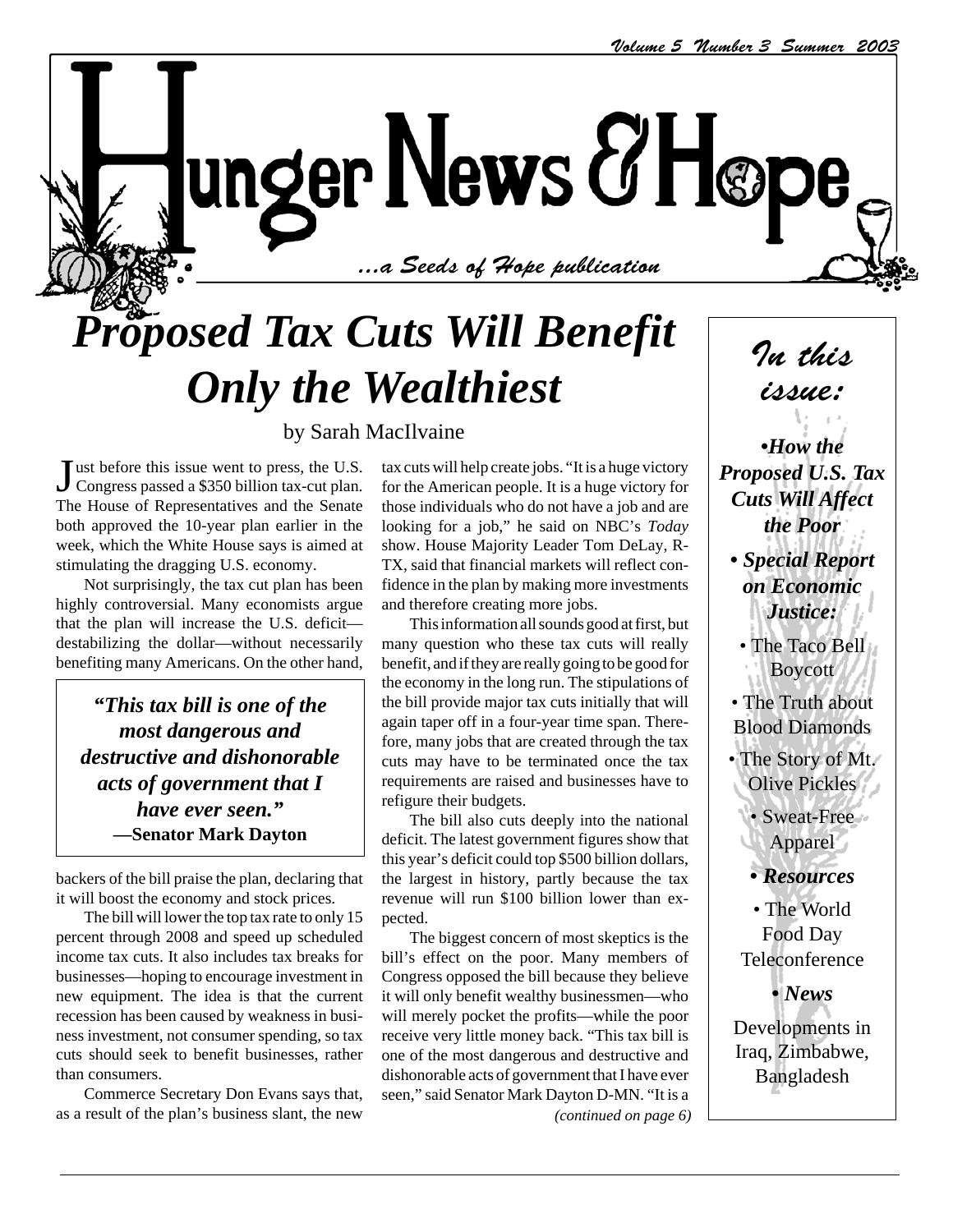$\sim$  1.121.11.11.11 ...a Seeds of Hope publication

# *Proposed Tax Cuts Will Benefit Only the Wealthiest*

#### by Sarah MacIlvaine

Just before this issue went to press, the U.S.<br>Congress passed a \$350 billion tax-cut plan. ust before this issue went to press, the U.S. The House of Representatives and the Senate both approved the 10-year plan earlier in the week, which the White House says is aimed at stimulating the dragging U.S. economy.

Not surprisingly, the tax cut plan has been highly controversial. Many economists argue that the plan will increase the U.S. deficit destabilizing the dollar—without necessarily benefiting many Americans. On the other hand,

*"This tax bill is one of the most dangerous and destructive and dishonorable acts of government that I have ever seen."* **—Senator Mark Dayton**

backers of the bill praise the plan, declaring that it will boost the economy and stock prices.

The bill will lower the top tax rate to only 15 percent through 2008 and speed up scheduled income tax cuts. It also includes tax breaks for businesses—hoping to encourage investment in new equipment. The idea is that the current recession has been caused by weakness in business investment, not consumer spending, so tax cuts should seek to benefit businesses, rather than consumers.

Commerce Secretary Don Evans says that, as a result of the plan's business slant, the new

tax cuts will help create jobs. "It is a huge victory for the American people. It is a huge victory for those individuals who do not have a job and are looking for a job," he said on NBC's *Today* show. House Majority Leader Tom DeLay, R-TX, said that financial markets will reflect confidence in the plan by making more investments and therefore creating more jobs.

This information all sounds good at first, but many question who these tax cuts will really benefit, and if they are really going to be good for the economy in the long run. The stipulations of the bill provide major tax cuts initially that will again taper off in a four-year time span. Therefore, many jobs that are created through the tax cuts may have to be terminated once the tax requirements are raised and businesses have to refigure their budgets.

The bill also cuts deeply into the national deficit. The latest government figures show that this year's deficit could top \$500 billion dollars, the largest in history, partly because the tax revenue will run \$100 billion lower than expected.

The biggest concern of most skeptics is the bill's effect on the poor. Many members of Congress opposed the bill because they believe it will only benefit wealthy businessmen—who will merely pocket the profits—while the poor receive very little money back. "This tax bill is one of the most dangerous and destructive and dishonorable acts of government that I have ever seen," said Senator Mark Dayton D-MN. "It is a *(continued on page 6)*

In this issue:

*•How the Proposed U.S. Tax Cuts Will Affect the Poor*

- *Special Report on Economic Justice:*
	- The Taco Bell Boycott
- The Truth about Blood Diamonds
- The Story of Mt. Olive Pickles

• Sweat-Free Apparel

*• Resources*

• The World Food Day **Teleconference** 

*• News*

Developments in Iraq, Zimbabwe, Bangladesh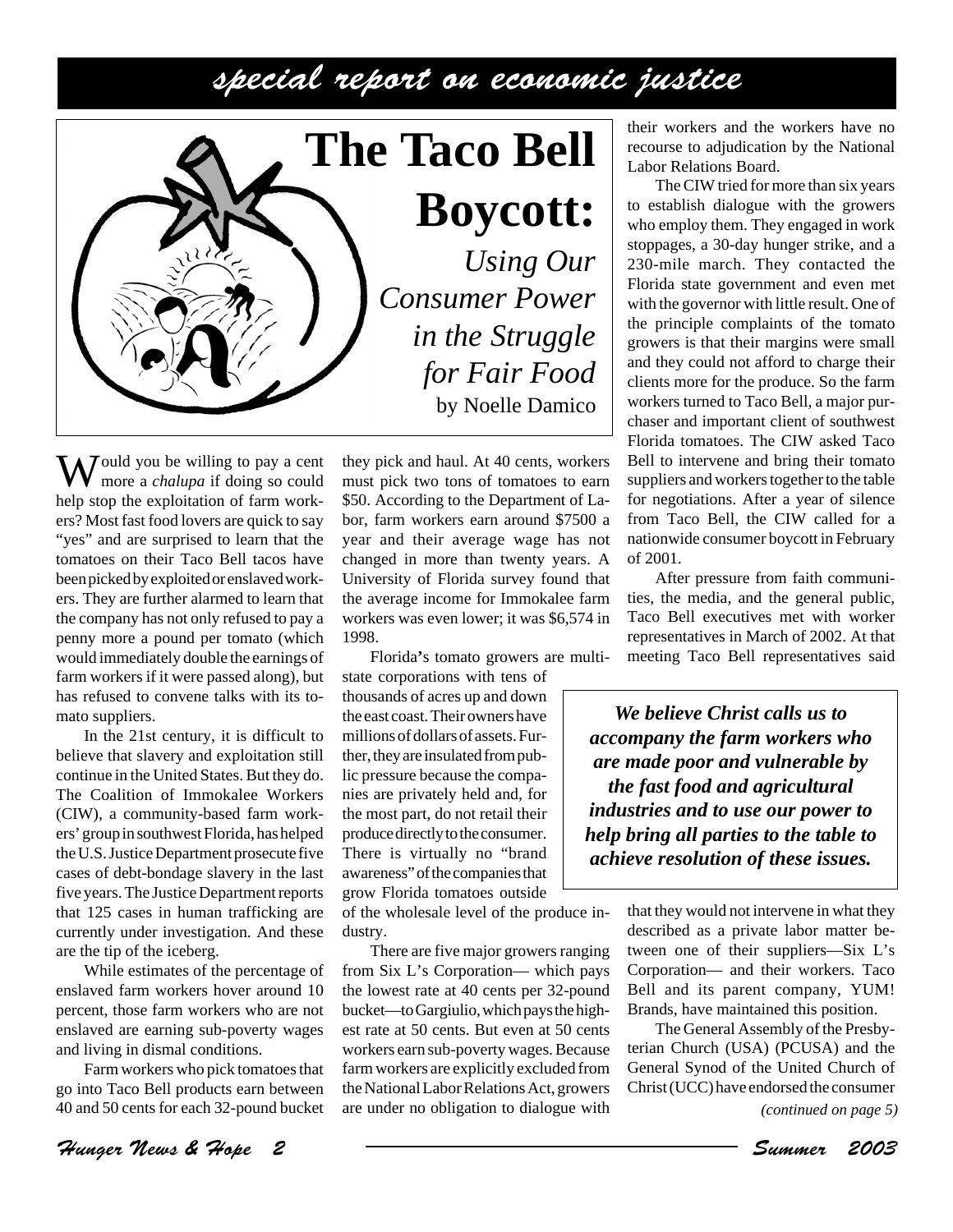

**The Taco Bell Boycott:**

*Using Our Consumer Power in the Struggle for Fair Food* by Noelle Damico

Would you be willing to pay a cent more a *chalupa* if doing so could help stop the exploitation of farm workers? Most fast food lovers are quick to say "yes" and are surprised to learn that the tomatoes on their Taco Bell tacos have been picked by exploited or enslaved workers. They are further alarmed to learn that the company has not only refused to pay a penny more a pound per tomato (which would immediately double the earnings of farm workers if it were passed along), but has refused to convene talks with its tomato suppliers.

In the 21st century, it is difficult to believe that slavery and exploitation still continue in the United States. But they do. The Coalition of Immokalee Workers (CIW), a community-based farm workers' group in southwest Florida, has helped the U.S. Justice Department prosecute five cases of debt-bondage slavery in the last five years. The Justice Department reports that 125 cases in human trafficking are currently under investigation. And these are the tip of the iceberg.

While estimates of the percentage of enslaved farm workers hover around 10 percent, those farm workers who are not enslaved are earning sub-poverty wages and living in dismal conditions.

Farm workers who pick tomatoes that go into Taco Bell products earn between 40 and 50 cents for each 32-pound bucket

Hunger News & Hope 2 Summer 2003

they pick and haul. At 40 cents, workers must pick two tons of tomatoes to earn \$50. According to the Department of Labor, farm workers earn around \$7500 a year and their average wage has not changed in more than twenty years. A University of Florida survey found that the average income for Immokalee farm workers was even lower; it was \$6,574 in 1998.

Florida**'**s tomato growers are multi-

state corporations with tens of thousands of acres up and down the east coast. Their owners have millions of dollars of assets. Further, they are insulated from public pressure because the companies are privately held and, for the most part, do not retail their produce directly to the consumer. There is virtually no "brand awareness" of the companies that grow Florida tomatoes outside

of the wholesale level of the produce industry.

There are five major growers ranging from Six L's Corporation— which pays the lowest rate at 40 cents per 32-pound bucket—to Gargiulio, which pays the highest rate at 50 cents. But even at 50 cents workers earn sub-poverty wages. Because farm workers are explicitly excluded from the National Labor Relations Act, growers are under no obligation to dialogue with

their workers and the workers have no recourse to adjudication by the National Labor Relations Board.

The CIW tried for more than six years to establish dialogue with the growers who employ them. They engaged in work stoppages, a 30-day hunger strike, and a 230-mile march. They contacted the Florida state government and even met with the governor with little result. One of the principle complaints of the tomato growers is that their margins were small and they could not afford to charge their clients more for the produce. So the farm workers turned to Taco Bell, a major purchaser and important client of southwest Florida tomatoes. The CIW asked Taco Bell to intervene and bring their tomato suppliers and workers together to the table for negotiations. After a year of silence from Taco Bell, the CIW called for a nationwide consumer boycott in February of 2001.

After pressure from faith communities, the media, and the general public, Taco Bell executives met with worker representatives in March of 2002. At that meeting Taco Bell representatives said

*We believe Christ calls us to accompany the farm workers who are made poor and vulnerable by the fast food and agricultural industries and to use our power to help bring all parties to the table to achieve resolution of these issues.*

> that they would not intervene in what they described as a private labor matter between one of their suppliers—Six L's Corporation— and their workers. Taco Bell and its parent company, YUM! Brands, have maintained this position.

> The General Assembly of the Presbyterian Church (USA) (PCUSA) and the General Synod of the United Church of Christ (UCC) have endorsed the consumer

*<sup>(</sup>continued on page 5)*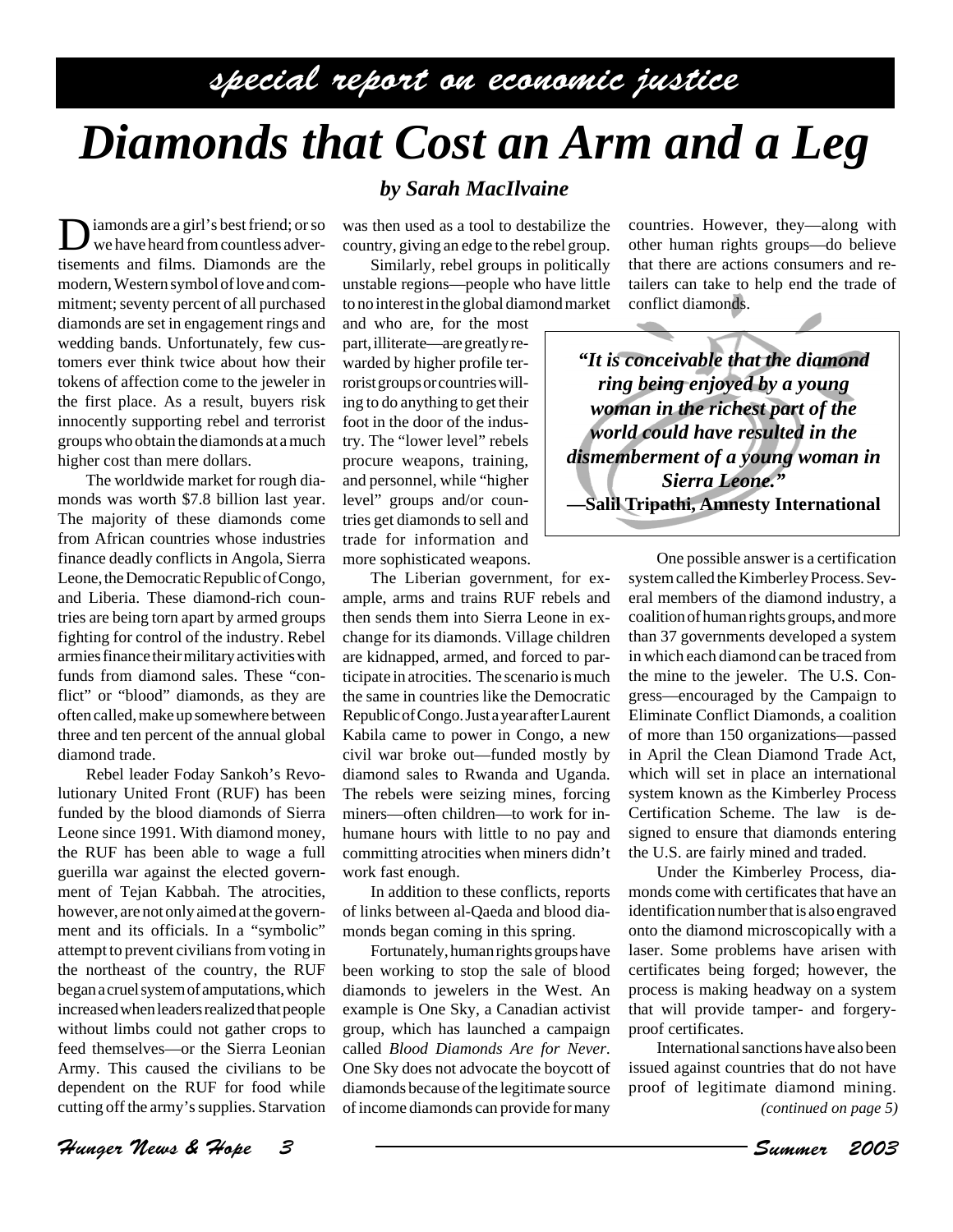# *Diamonds that Cost an Arm and a Leg*

Diamonds are a girl's best friend; or so we have heard from countless advertisements and films. Diamonds are the modern, Western symbol of love and commitment; seventy percent of all purchased diamonds are set in engagement rings and wedding bands. Unfortunately, few customers ever think twice about how their tokens of affection come to the jeweler in the first place. As a result, buyers risk innocently supporting rebel and terrorist groups who obtain the diamonds at a much higher cost than mere dollars.

The worldwide market for rough diamonds was worth \$7.8 billion last year. The majority of these diamonds come from African countries whose industries finance deadly conflicts in Angola, Sierra Leone, the Democratic Republic of Congo, and Liberia. These diamond-rich countries are being torn apart by armed groups fighting for control of the industry. Rebel armies finance their military activities with funds from diamond sales. These "conflict" or "blood" diamonds, as they are often called, make up somewhere between three and ten percent of the annual global diamond trade.

Rebel leader Foday Sankoh's Revolutionary United Front (RUF) has been funded by the blood diamonds of Sierra Leone since 1991. With diamond money, the RUF has been able to wage a full guerilla war against the elected government of Tejan Kabbah. The atrocities, however, are not only aimed at the government and its officials. In a "symbolic" attempt to prevent civilians from voting in the northeast of the country, the RUF began a cruel system of amputations, which increased when leaders realized that people without limbs could not gather crops to feed themselves—or the Sierra Leonian Army. This caused the civilians to be dependent on the RUF for food while cutting off the army's supplies. Starvation

#### *by Sarah MacIlvaine*

was then used as a tool to destabilize the country, giving an edge to the rebel group.

Similarly, rebel groups in politically unstable regions—people who have little to no interest in the global diamond market

and who are, for the most part, illiterate—are greatly rewarded by higher profile terrorist groups or countries willing to do anything to get their foot in the door of the industry. The "lower level" rebels procure weapons, training, and personnel, while "higher level" groups and/or countries get diamonds to sell and trade for information and more sophisticated weapons.

The Liberian government, for example, arms and trains RUF rebels and then sends them into Sierra Leone in exchange for its diamonds. Village children are kidnapped, armed, and forced to participate in atrocities. The scenario is much the same in countries like the Democratic Republic of Congo. Just a year after Laurent Kabila came to power in Congo, a new civil war broke out—funded mostly by diamond sales to Rwanda and Uganda. The rebels were seizing mines, forcing miners—often children—to work for inhumane hours with little to no pay and committing atrocities when miners didn't work fast enough.

In addition to these conflicts, reports of links between al-Qaeda and blood diamonds began coming in this spring.

Fortunately, human rights groups have been working to stop the sale of blood diamonds to jewelers in the West. An example is One Sky, a Canadian activist group, which has launched a campaign called *Blood Diamonds Are for Never*. One Sky does not advocate the boycott of diamonds because of the legitimate source of income diamonds can provide for many countries. However, they—along with other human rights groups—do believe that there are actions consumers and retailers can take to help end the trade of conflict diamonds.

*"It is conceivable that the diamond ring being enjoyed by a young woman in the richest part of the world could have resulted in the dismemberment of a young woman in Sierra Leone."* **—Salil Tripathi, Amnesty International**

> One possible answer is a certification system called the Kimberley Process. Several members of the diamond industry, a coalition of human rights groups, and more than 37 governments developed a system in which each diamond can be traced from the mine to the jeweler. The U.S. Congress—encouraged by the Campaign to Eliminate Conflict Diamonds, a coalition of more than 150 organizations—passed in April the Clean Diamond Trade Act, which will set in place an international system known as the Kimberley Process Certification Scheme. The law is designed to ensure that diamonds entering the U.S. are fairly mined and traded.

> Under the Kimberley Process, diamonds come with certificates that have an identification number that is also engraved onto the diamond microscopically with a laser. Some problems have arisen with certificates being forged; however, the process is making headway on a system that will provide tamper- and forgeryproof certificates.

> International sanctions have also been issued against countries that do not have proof of legitimate diamond mining. *(continued on page 5)*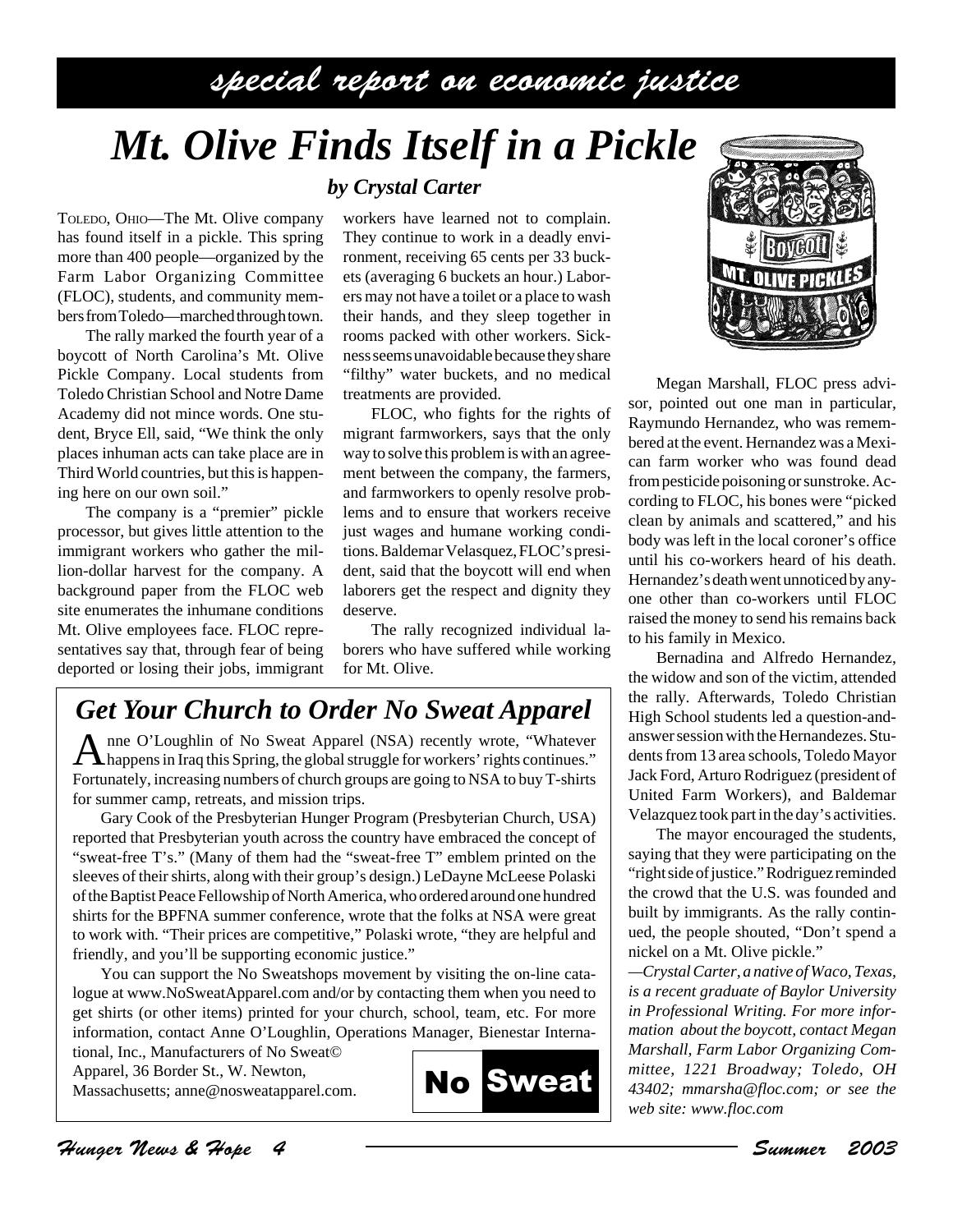## *Mt. Olive Finds Itself in a Pickle*

*by Crystal Carter*

TOLEDO, OHIO—The Mt. Olive company has found itself in a pickle. This spring more than 400 people—organized by the Farm Labor Organizing Committee (FLOC), students, and community members from Toledo—marched through town.

The rally marked the fourth year of a boycott of North Carolina's Mt. Olive Pickle Company. Local students from Toledo Christian School and Notre Dame Academy did not mince words. One student, Bryce Ell, said, "We think the only places inhuman acts can take place are in Third World countries, but this is happening here on our own soil."

The company is a "premier" pickle processor, but gives little attention to the immigrant workers who gather the million-dollar harvest for the company. A background paper from the FLOC web site enumerates the inhumane conditions Mt. Olive employees face. FLOC representatives say that, through fear of being deported or losing their jobs, immigrant

workers have learned not to complain. They continue to work in a deadly environment, receiving 65 cents per 33 buckets (averaging 6 buckets an hour.) Laborers may not have a toilet or a place to wash their hands, and they sleep together in rooms packed with other workers. Sickness seems unavoidable because they share "filthy" water buckets, and no medical treatments are provided.

FLOC, who fights for the rights of migrant farmworkers, says that the only way to solve this problem is with an agreement between the company, the farmers, and farmworkers to openly resolve problems and to ensure that workers receive just wages and humane working conditions. Baldemar Velasquez, FLOC's president, said that the boycott will end when laborers get the respect and dignity they deserve.

The rally recognized individual laborers who have suffered while working for Mt. Olive.

### *Get Your Church to Order No Sweat Apparel*

A nne O'Loughlin of No Sweat Apparel (NSA) recently wrote, "Whatever Fortunately, increasing numbers of church groups are going to NSA to buy T-shirts for summer camp, retreats, and mission trips.

Gary Cook of the Presbyterian Hunger Program (Presbyterian Church, USA) reported that Presbyterian youth across the country have embraced the concept of "sweat-free T's." (Many of them had the "sweat-free T" emblem printed on the sleeves of their shirts, along with their group's design.) LeDayne McLeese Polaski of the Baptist Peace Fellowship of North America, who ordered around one hundred shirts for the BPFNA summer conference, wrote that the folks at NSA were great to work with. "Their prices are competitive," Polaski wrote, "they are helpful and friendly, and you'll be supporting economic justice."

You can support the No Sweatshops movement by visiting the on-line catalogue at www.NoSweatApparel.com and/or by contacting them when you need to get shirts (or other items) printed for your church, school, team, etc. For more information, contact Anne O'Loughlin, Operations Manager, Bienestar Interna-

tional, Inc., Manufacturers of No Sweat© Apparel, 36 Border St., W. Newton, Massachusetts; anne@nosweatapparel.com.





Megan Marshall, FLOC press advisor, pointed out one man in particular, Raymundo Hernandez, who was remembered at the event. Hernandez was a Mexican farm worker who was found dead from pesticide poisoning or sunstroke. According to FLOC, his bones were "picked clean by animals and scattered," and his body was left in the local coroner's office until his co-workers heard of his death. Hernandez's death went unnoticed by anyone other than co-workers until FLOC raised the money to send his remains back to his family in Mexico.

Bernadina and Alfredo Hernandez, the widow and son of the victim, attended the rally. Afterwards, Toledo Christian High School students led a question-andanswer session with the Hernandezes. Students from 13 area schools, Toledo Mayor Jack Ford, Arturo Rodriguez (president of United Farm Workers), and Baldemar Velazquez took part in the day's activities.

The mayor encouraged the students, saying that they were participating on the "right side of justice." Rodriguez reminded the crowd that the U.S. was founded and built by immigrants. As the rally continued, the people shouted, "Don't spend a nickel on a Mt. Olive pickle."

*—Crystal Carter, a native of Waco, Texas, is a recent graduate of Baylor University in Professional Writing. For more information about the boycott, contact Megan Marshall, Farm Labor Organizing Committee, 1221 Broadway; Toledo, OH 43402; mmarsha@floc.com; or see the web site: www.floc.com*

Hunger News & Hope 4 Summer 2003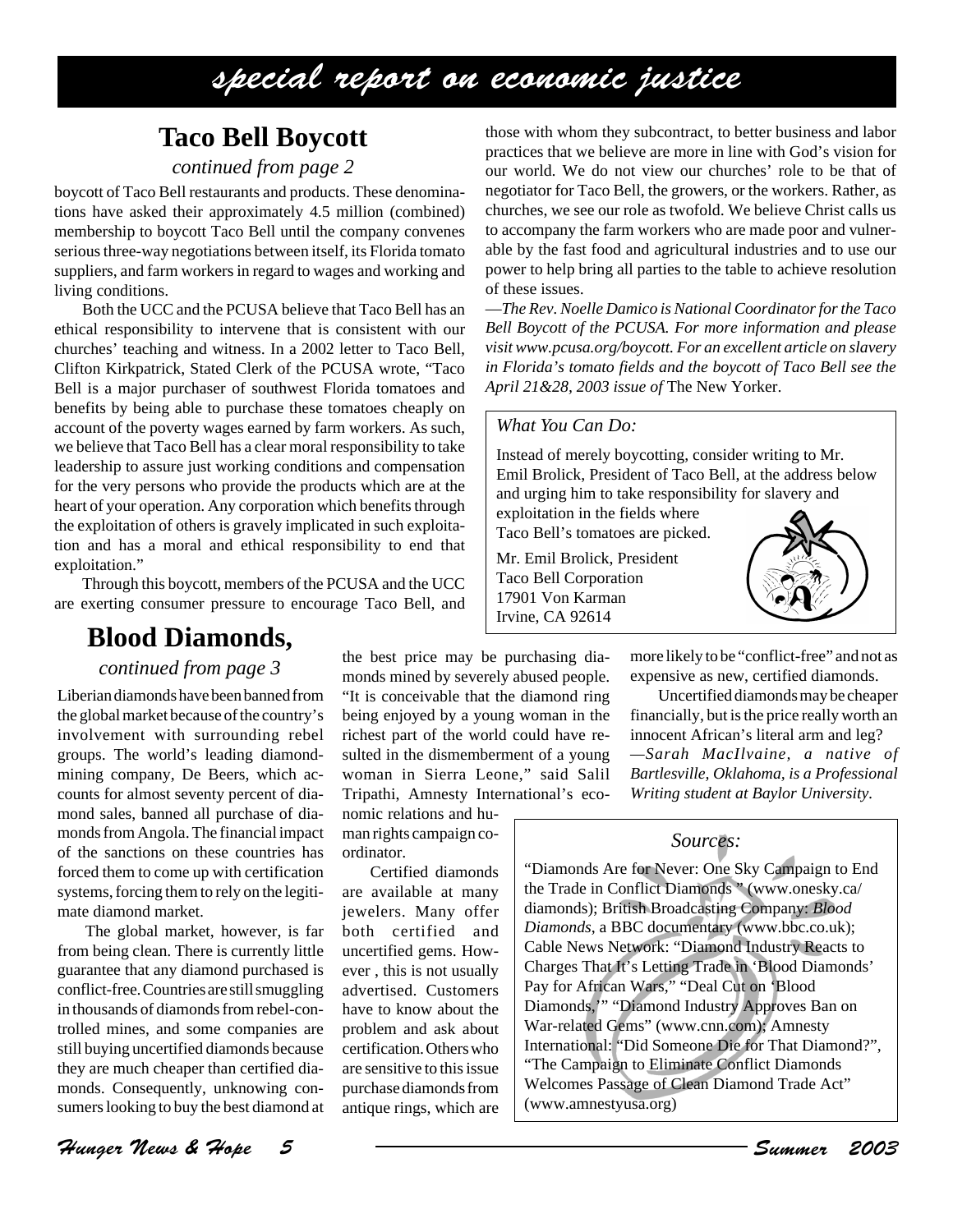## **Taco Bell Boycott**

#### *continued from page 2*

boycott of Taco Bell restaurants and products. These denominations have asked their approximately 4.5 million (combined) membership to boycott Taco Bell until the company convenes serious three-way negotiations between itself, its Florida tomato suppliers, and farm workers in regard to wages and working and living conditions.

Both the UCC and the PCUSA believe that Taco Bell has an ethical responsibility to intervene that is consistent with our churches' teaching and witness. In a 2002 letter to Taco Bell, Clifton Kirkpatrick, Stated Clerk of the PCUSA wrote, "Taco Bell is a major purchaser of southwest Florida tomatoes and benefits by being able to purchase these tomatoes cheaply on account of the poverty wages earned by farm workers. As such, we believe that Taco Bell has a clear moral responsibility to take leadership to assure just working conditions and compensation for the very persons who provide the products which are at the heart of your operation. Any corporation which benefits through the exploitation of others is gravely implicated in such exploitation and has a moral and ethical responsibility to end that exploitation."

Through this boycott, members of the PCUSA and the UCC are exerting consumer pressure to encourage Taco Bell, and

### **Blood Diamonds,**

*continued from page 3*

Liberian diamonds have been banned from the global market because of the country's involvement with surrounding rebel groups. The world's leading diamondmining company, De Beers, which accounts for almost seventy percent of diamond sales, banned all purchase of diamonds from Angola. The financial impact of the sanctions on these countries has forced them to come up with certification systems, forcing them to rely on the legitimate diamond market.

The global market, however, is far from being clean. There is currently little guarantee that any diamond purchased is conflict-free. Countries are still smuggling in thousands of diamonds from rebel-controlled mines, and some companies are still buying uncertified diamonds because they are much cheaper than certified diamonds. Consequently, unknowing consumers looking to buy the best diamond at

Hunger News & Hope 5 Summer 2003

the best price may be purchasing diamonds mined by severely abused people. "It is conceivable that the diamond ring being enjoyed by a young woman in the richest part of the world could have resulted in the dismemberment of a young woman in Sierra Leone," said Salil Tripathi, Amnesty International's eco-

nomic relations and human rights campaign coordinator.

Certified diamonds are available at many jewelers. Many offer both certified and uncertified gems. However , this is not usually advertised. Customers have to know about the problem and ask about certification. Others who are sensitive to this issue purchase diamonds from antique rings, which are

those with whom they subcontract, to better business and labor practices that we believe are more in line with God's vision for our world. We do not view our churches' role to be that of negotiator for Taco Bell, the growers, or the workers. Rather, as churches, we see our role as twofold. We believe Christ calls us to accompany the farm workers who are made poor and vulnerable by the fast food and agricultural industries and to use our power to help bring all parties to the table to achieve resolution of these issues.

—*The Rev. Noelle Damico is National Coordinator for the Taco Bell Boycott of the PCUSA. For more information and please visit www.pcusa.org/boycott. For an excellent article on slavery in Florida's tomato fields and the boycott of Taco Bell see the April 21&28, 2003 issue of* The New Yorker.

#### *What You Can Do:*

Instead of merely boycotting, consider writing to Mr. Emil Brolick, President of Taco Bell, at the address below and urging him to take responsibility for slavery and

exploitation in the fields where Taco Bell's tomatoes are picked.

Mr. Emil Brolick, President Taco Bell Corporation 17901 Von Karman Irvine, CA 92614



more likely to be "conflict-free" and not as expensive as new, certified diamonds.

Uncertified diamonds may be cheaper financially, but is the price really worth an innocent African's literal arm and leg? *—Sarah MacIlvaine, a native of Bartlesville, Oklahoma, is a Professional Writing student at Baylor University.*

#### *Sources:*

"Diamonds Are for Never: One Sky Campaign to End the Trade in Conflict Diamonds " (www.onesky.ca/ diamonds); British Broadcasting Company: *Blood Diamonds*, a BBC documentary (www.bbc.co.uk); Cable News Network: "Diamond Industry Reacts to Charges That It's Letting Trade in 'Blood Diamonds' Pay for African Wars," "Deal Cut on 'Blood Diamonds,'" "Diamond Industry Approves Ban on War-related Gems" (www.cnn.com); Amnesty International: "Did Someone Die for That Diamond?", "The Campaign to Eliminate Conflict Diamonds Welcomes Passage of Clean Diamond Trade Act" (www.amnestyusa.org)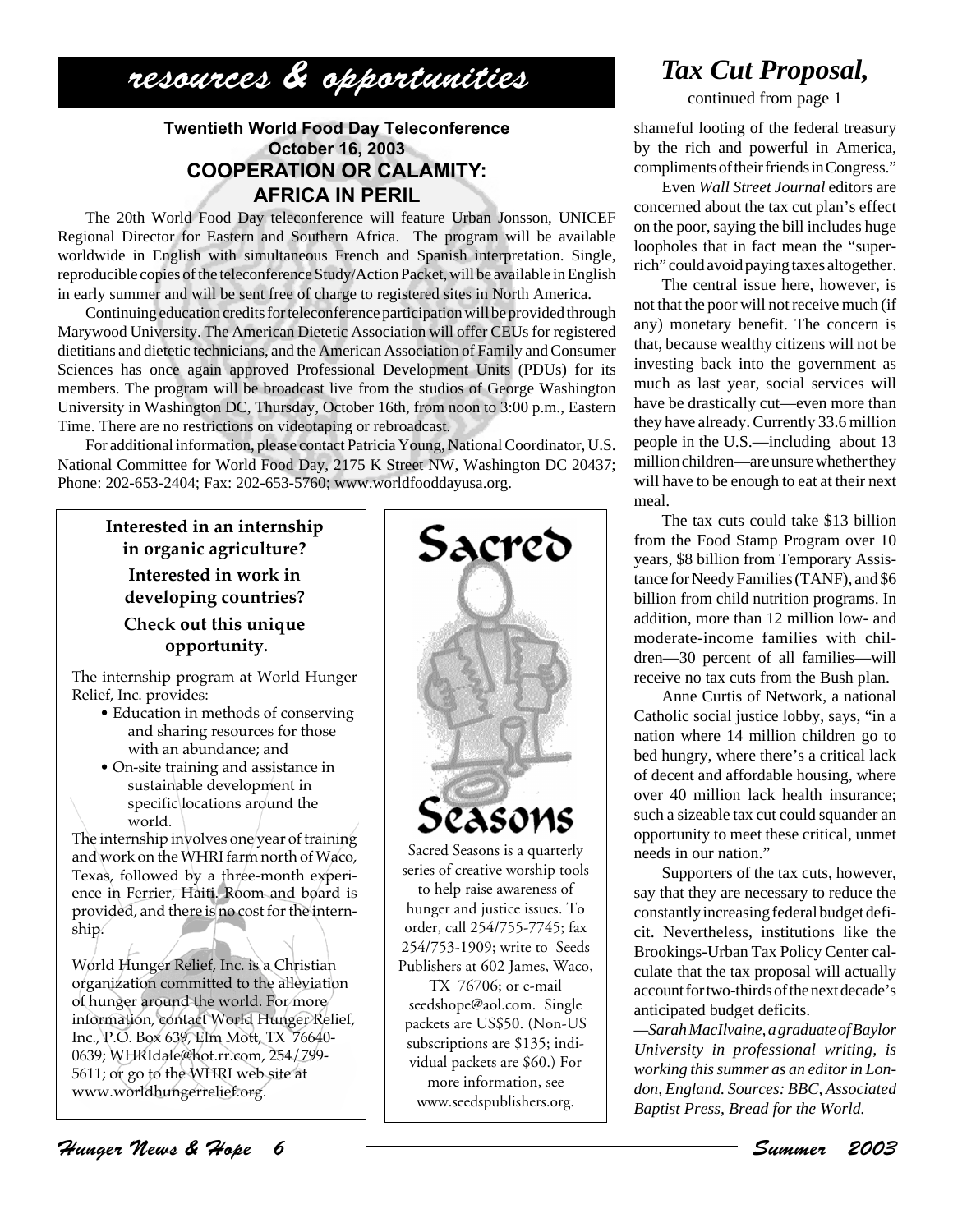## resources & opportunities

#### **Twentieth World Food Day Teleconference October 16, 2003 COOPERATION OR CALAMITY: AFRICA IN PERIL**

The 20th World Food Day teleconference will feature Urban Jonsson, UNICEF Regional Director for Eastern and Southern Africa. The program will be available worldwide in English with simultaneous French and Spanish interpretation. Single, reproducible copies of the teleconference Study/Action Packet, will be available in English in early summer and will be sent free of charge to registered sites in North America.

Continuing education credits for teleconference participation will be provided through Marywood University. The American Dietetic Association will offer CEUs for registered dietitians and dietetic technicians, and the American Association of Family and Consumer Sciences has once again approved Professional Development Units (PDUs) for its members. The program will be broadcast live from the studios of George Washington University in Washington DC, Thursday, October 16th, from noon to 3:00 p.m., Eastern Time. There are no restrictions on videotaping or rebroadcast.

For additional information, please contact Patricia Young, National Coordinator, U.S. National Committee for World Food Day, 2175 K Street NW, Washington DC 20437; Phone: 202-653-2404; Fax: 202-653-5760; www.worldfooddayusa.org.

**Interested in an internship in organic agriculture? Interested in work in developing countries? Check out this unique opportunity.**

The internship program at World Hunger Relief, Inc. provides:

- Education in methods of conserving and sharing resources for those with an abundance; and
- On-site training and assistance in sustainable development in specific locations around the world.

The internship involves one year of training and work on the WHRI farm north of Waco, Texas, followed by a three-month experience in Ferrier, Haiti. Room and board is provided, and there is no cost for the internship.

World Hunger Relief, Inc. is a Christian organization committed to the alleviation of hunger around the world. For more information, contact World Hunger Relief, Inc., P.O. Box 639, Elm Mott, TX 76640- 0639; WHRIdale@hot.rr.com, 254/799- 5611; or go to the WHRI web site at www.worldhungerrelief.org.



### *Tax Cut Proposal,*

continued from page 1

shameful looting of the federal treasury by the rich and powerful in America, compliments of their friends in Congress."

Even *Wall Street Journal* editors are concerned about the tax cut plan's effect on the poor, saying the bill includes huge loopholes that in fact mean the "superrich" could avoid paying taxes altogether.

The central issue here, however, is not that the poor will not receive much (if any) monetary benefit. The concern is that, because wealthy citizens will not be investing back into the government as much as last year, social services will have be drastically cut—even more than they have already. Currently 33.6 million people in the U.S.—including about 13 million children—are unsure whether they will have to be enough to eat at their next meal.

The tax cuts could take \$13 billion from the Food Stamp Program over 10 years, \$8 billion from Temporary Assistance for Needy Families (TANF), and \$6 billion from child nutrition programs. In addition, more than 12 million low- and moderate-income families with children—30 percent of all families—will receive no tax cuts from the Bush plan.

Anne Curtis of Network, a national Catholic social justice lobby, says, "in a nation where 14 million children go to bed hungry, where there's a critical lack of decent and affordable housing, where over 40 million lack health insurance; such a sizeable tax cut could squander an opportunity to meet these critical, unmet needs in our nation."

Supporters of the tax cuts, however, say that they are necessary to reduce the constantly increasing federal budget deficit. Nevertheless, institutions like the Brookings-Urban Tax Policy Center calculate that the tax proposal will actually account for two-thirds of the next decade's anticipated budget deficits.

*—Sarah MacIlvaine, a graduate of Baylor University in professional writing, is working this summer as an editor in London, England. Sources: BBC, Associated Baptist Press, Bread for the World.*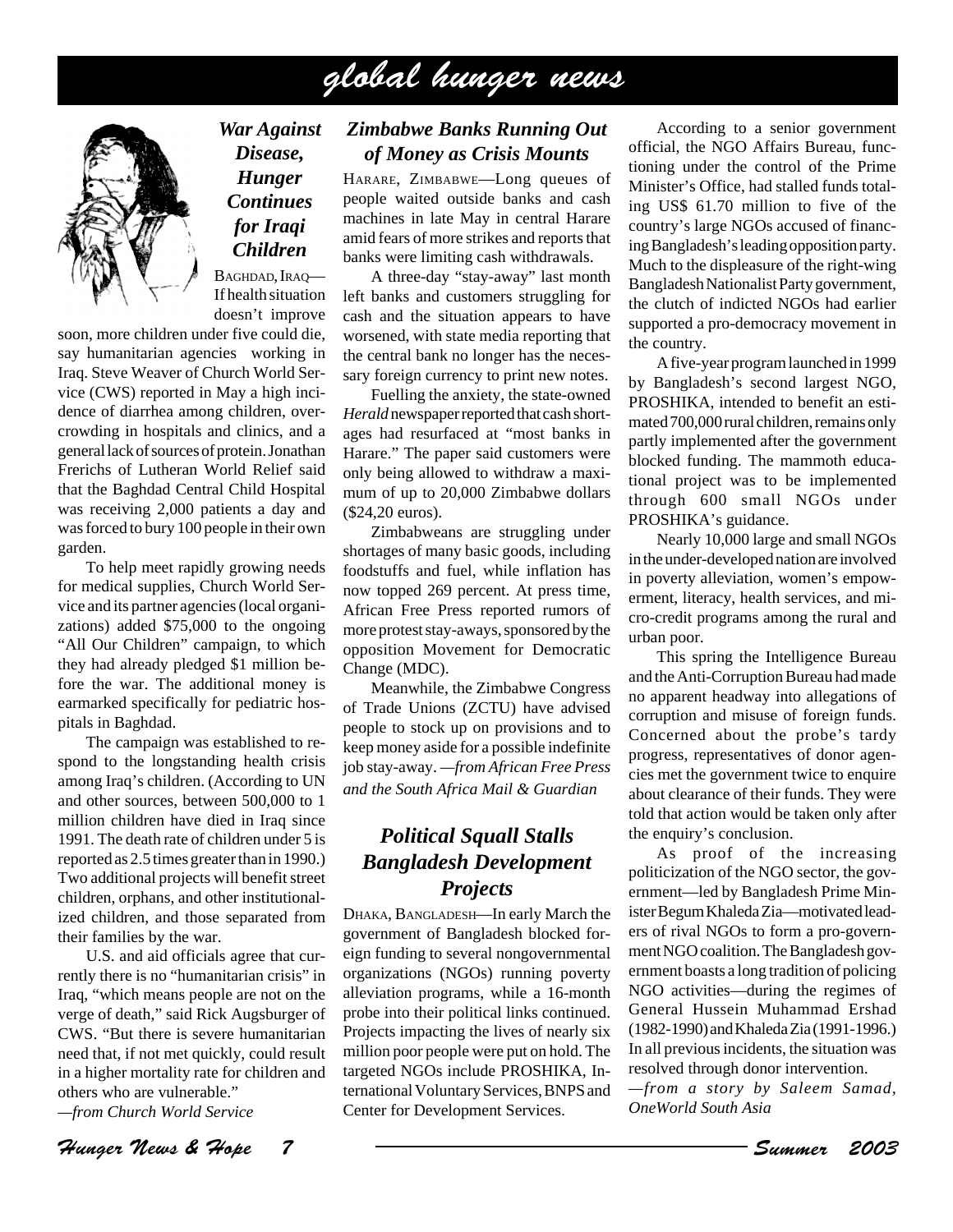## global hunger news



*War Against Disease, Hunger Continues for Iraqi Children*

BAGHDAD, IRAO-If health situation doesn't improve

soon, more children under five could die, say humanitarian agencies working in Iraq. Steve Weaver of Church World Service (CWS) reported in May a high incidence of diarrhea among children, overcrowding in hospitals and clinics, and a general lack of sources of protein. Jonathan Frerichs of Lutheran World Relief said that the Baghdad Central Child Hospital was receiving 2,000 patients a day and was forced to bury 100 people in their own garden.

To help meet rapidly growing needs for medical supplies, Church World Service and its partner agencies (local organizations) added \$75,000 to the ongoing "All Our Children" campaign, to which they had already pledged \$1 million before the war. The additional money is earmarked specifically for pediatric hospitals in Baghdad.

The campaign was established to respond to the longstanding health crisis among Iraq's children. (According to UN and other sources, between 500,000 to 1 million children have died in Iraq since 1991. The death rate of children under 5 is reported as 2.5 times greater than in 1990.) Two additional projects will benefit street children, orphans, and other institutionalized children, and those separated from their families by the war.

U.S. and aid officials agree that currently there is no "humanitarian crisis" in Iraq, "which means people are not on the verge of death," said Rick Augsburger of CWS. "But there is severe humanitarian need that, if not met quickly, could result in a higher mortality rate for children and others who are vulnerable."

*—from Church World Service*

Hunger News & Hope 7 Summer 2003

#### *Zimbabwe Banks Running Out of Money as Crisis Mounts*

HARARE, ZIMBABWE—Long queues of people waited outside banks and cash machines in late May in central Harare amid fears of more strikes and reports that banks were limiting cash withdrawals.

A three-day "stay-away" last month left banks and customers struggling for cash and the situation appears to have worsened, with state media reporting that the central bank no longer has the necessary foreign currency to print new notes.

Fuelling the anxiety, the state-owned *Herald* newspaper reported that cash shortages had resurfaced at "most banks in Harare." The paper said customers were only being allowed to withdraw a maximum of up to 20,000 Zimbabwe dollars (\$24,20 euros).

Zimbabweans are struggling under shortages of many basic goods, including foodstuffs and fuel, while inflation has now topped 269 percent. At press time, African Free Press reported rumors of more protest stay-aways, sponsored by the opposition Movement for Democratic Change (MDC).

Meanwhile, the Zimbabwe Congress of Trade Unions (ZCTU) have advised people to stock up on provisions and to keep money aside for a possible indefinite job stay-away. *—from African Free Press and the South Africa Mail & Guardian*

#### *Political Squall Stalls Bangladesh Development Projects*

DHAKA, BANGLADESH—In early March the government of Bangladesh blocked foreign funding to several nongovernmental organizations (NGOs) running poverty alleviation programs, while a 16-month probe into their political links continued. Projects impacting the lives of nearly six million poor people were put on hold. The targeted NGOs include PROSHIKA, International Voluntary Services, BNPS and Center for Development Services.

According to a senior government official, the NGO Affairs Bureau, functioning under the control of the Prime Minister's Office, had stalled funds totaling US\$ 61.70 million to five of the country's large NGOs accused of financing Bangladesh's leading opposition party. Much to the displeasure of the right-wing Bangladesh Nationalist Party government, the clutch of indicted NGOs had earlier supported a pro-democracy movement in the country.

A five-year program launched in 1999 by Bangladesh's second largest NGO, PROSHIKA, intended to benefit an estimated 700,000 rural children, remains only partly implemented after the government blocked funding. The mammoth educational project was to be implemented through 600 small NGOs under PROSHIKA's guidance.

Nearly 10,000 large and small NGOs in the under-developed nation are involved in poverty alleviation, women's empowerment, literacy, health services, and micro-credit programs among the rural and urban poor.

This spring the Intelligence Bureau and the Anti-Corruption Bureau had made no apparent headway into allegations of corruption and misuse of foreign funds. Concerned about the probe's tardy progress, representatives of donor agencies met the government twice to enquire about clearance of their funds. They were told that action would be taken only after the enquiry's conclusion.

As proof of the increasing politicization of the NGO sector, the government—led by Bangladesh Prime Minister Begum Khaleda Zia—motivated leaders of rival NGOs to form a pro-government NGO coalition. The Bangladesh government boasts a long tradition of policing NGO activities—during the regimes of General Hussein Muhammad Ershad (1982-1990) and Khaleda Zia (1991-1996.) In all previous incidents, the situation was resolved through donor intervention.

*—from a story by Saleem Samad, OneWorld South Asia*